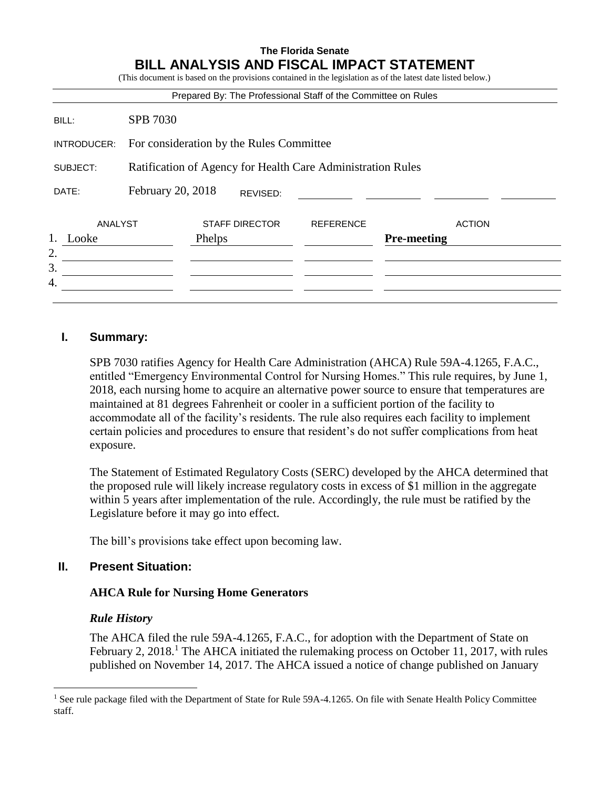#### **The Florida Senate BILL ANALYSIS AND FISCAL IMPACT STATEMENT** ( $\alpha$ ) an the provisions contained in the legislation as of the latest date listed below.

|                        |                                                             | (This document is based on the provisions contained in the registation as of the fatest date fisted below.)<br>Prepared By: The Professional Staff of the Committee on Rules |                  |                    |               |
|------------------------|-------------------------------------------------------------|------------------------------------------------------------------------------------------------------------------------------------------------------------------------------|------------------|--------------------|---------------|
| BILL:                  | <b>SPB 7030</b>                                             |                                                                                                                                                                              |                  |                    |               |
| INTRODUCER:            | For consideration by the Rules Committee                    |                                                                                                                                                                              |                  |                    |               |
| SUBJECT:               | Ratification of Agency for Health Care Administration Rules |                                                                                                                                                                              |                  |                    |               |
| DATE:                  | February 20, 2018                                           | REVISED:                                                                                                                                                                     |                  |                    |               |
| ANALYST<br>Looke<br>2. |                                                             | <b>STAFF DIRECTOR</b><br>Phelps                                                                                                                                              | <b>REFERENCE</b> | <b>Pre-meeting</b> | <b>ACTION</b> |
| 3.<br>4.               |                                                             |                                                                                                                                                                              |                  |                    |               |

# **I. Summary:**

SPB 7030 ratifies Agency for Health Care Administration (AHCA) Rule 59A-4.1265, F.A.C., entitled "Emergency Environmental Control for Nursing Homes." This rule requires, by June 1, 2018, each nursing home to acquire an alternative power source to ensure that temperatures are maintained at 81 degrees Fahrenheit or cooler in a sufficient portion of the facility to accommodate all of the facility's residents. The rule also requires each facility to implement certain policies and procedures to ensure that resident's do not suffer complications from heat exposure.

The Statement of Estimated Regulatory Costs (SERC) developed by the AHCA determined that the proposed rule will likely increase regulatory costs in excess of \$1 million in the aggregate within 5 years after implementation of the rule. Accordingly, the rule must be ratified by the Legislature before it may go into effect.

The bill's provisions take effect upon becoming law.

# **II. Present Situation:**

# **AHCA Rule for Nursing Home Generators**

# *Rule History*

 $\overline{a}$ 

The AHCA filed the rule 59A-4.1265, F.A.C., for adoption with the Department of State on February 2, 2018.<sup>1</sup> The AHCA initiated the rulemaking process on October 11, 2017, with rules published on November 14, 2017. The AHCA issued a notice of change published on January

<sup>&</sup>lt;sup>1</sup> See rule package filed with the Department of State for Rule 59A-4.1265. On file with Senate Health Policy Committee staff.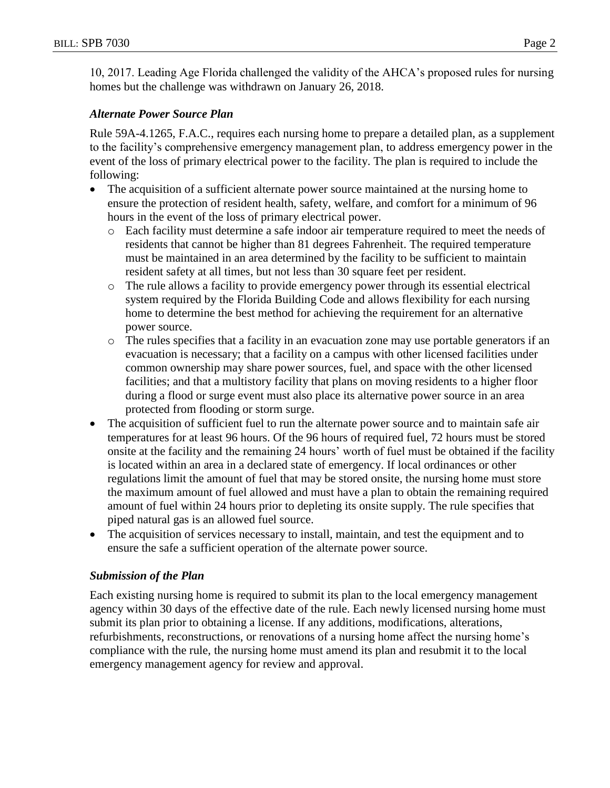10, 2017. Leading Age Florida challenged the validity of the AHCA's proposed rules for nursing homes but the challenge was withdrawn on January 26, 2018.

# *Alternate Power Source Plan*

Rule 59A-4.1265, F.A.C., requires each nursing home to prepare a detailed plan, as a supplement to the facility's comprehensive emergency management plan, to address emergency power in the event of the loss of primary electrical power to the facility. The plan is required to include the following:

- The acquisition of a sufficient alternate power source maintained at the nursing home to ensure the protection of resident health, safety, welfare, and comfort for a minimum of 96 hours in the event of the loss of primary electrical power.
	- o Each facility must determine a safe indoor air temperature required to meet the needs of residents that cannot be higher than 81 degrees Fahrenheit. The required temperature must be maintained in an area determined by the facility to be sufficient to maintain resident safety at all times, but not less than 30 square feet per resident.
	- o The rule allows a facility to provide emergency power through its essential electrical system required by the Florida Building Code and allows flexibility for each nursing home to determine the best method for achieving the requirement for an alternative power source.
	- o The rules specifies that a facility in an evacuation zone may use portable generators if an evacuation is necessary; that a facility on a campus with other licensed facilities under common ownership may share power sources, fuel, and space with the other licensed facilities; and that a multistory facility that plans on moving residents to a higher floor during a flood or surge event must also place its alternative power source in an area protected from flooding or storm surge.
- The acquisition of sufficient fuel to run the alternate power source and to maintain safe air temperatures for at least 96 hours. Of the 96 hours of required fuel, 72 hours must be stored onsite at the facility and the remaining 24 hours' worth of fuel must be obtained if the facility is located within an area in a declared state of emergency. If local ordinances or other regulations limit the amount of fuel that may be stored onsite, the nursing home must store the maximum amount of fuel allowed and must have a plan to obtain the remaining required amount of fuel within 24 hours prior to depleting its onsite supply. The rule specifies that piped natural gas is an allowed fuel source.
- The acquisition of services necessary to install, maintain, and test the equipment and to ensure the safe a sufficient operation of the alternate power source.

# *Submission of the Plan*

Each existing nursing home is required to submit its plan to the local emergency management agency within 30 days of the effective date of the rule. Each newly licensed nursing home must submit its plan prior to obtaining a license. If any additions, modifications, alterations, refurbishments, reconstructions, or renovations of a nursing home affect the nursing home's compliance with the rule, the nursing home must amend its plan and resubmit it to the local emergency management agency for review and approval.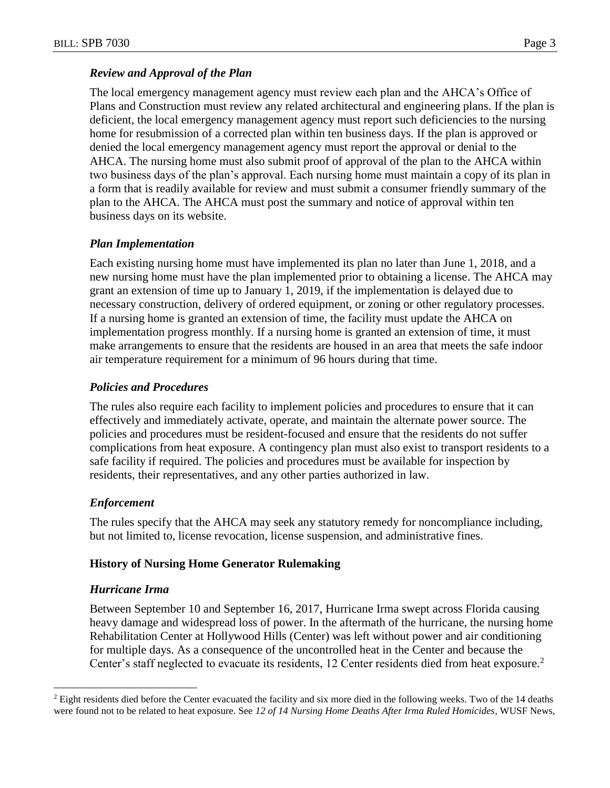# *Review and Approval of the Plan*

The local emergency management agency must review each plan and the AHCA's Office of Plans and Construction must review any related architectural and engineering plans. If the plan is deficient, the local emergency management agency must report such deficiencies to the nursing home for resubmission of a corrected plan within ten business days. If the plan is approved or denied the local emergency management agency must report the approval or denial to the AHCA. The nursing home must also submit proof of approval of the plan to the AHCA within two business days of the plan's approval. Each nursing home must maintain a copy of its plan in a form that is readily available for review and must submit a consumer friendly summary of the plan to the AHCA. The AHCA must post the summary and notice of approval within ten business days on its website.

### *Plan Implementation*

Each existing nursing home must have implemented its plan no later than June 1, 2018, and a new nursing home must have the plan implemented prior to obtaining a license. The AHCA may grant an extension of time up to January 1, 2019, if the implementation is delayed due to necessary construction, delivery of ordered equipment, or zoning or other regulatory processes. If a nursing home is granted an extension of time, the facility must update the AHCA on implementation progress monthly. If a nursing home is granted an extension of time, it must make arrangements to ensure that the residents are housed in an area that meets the safe indoor air temperature requirement for a minimum of 96 hours during that time.

### *Policies and Procedures*

The rules also require each facility to implement policies and procedures to ensure that it can effectively and immediately activate, operate, and maintain the alternate power source. The policies and procedures must be resident-focused and ensure that the residents do not suffer complications from heat exposure. A contingency plan must also exist to transport residents to a safe facility if required. The policies and procedures must be available for inspection by residents, their representatives, and any other parties authorized in law.

#### *Enforcement*

The rules specify that the AHCA may seek any statutory remedy for noncompliance including, but not limited to, license revocation, license suspension, and administrative fines.

#### **History of Nursing Home Generator Rulemaking**

#### *Hurricane Irma*

 $\overline{a}$ 

Between September 10 and September 16, 2017, Hurricane Irma swept across Florida causing heavy damage and widespread loss of power. In the aftermath of the hurricane, the nursing home Rehabilitation Center at Hollywood Hills (Center) was left without power and air conditioning for multiple days. As a consequence of the uncontrolled heat in the Center and because the Center's staff neglected to evacuate its residents, 12 Center residents died from heat exposure.<sup>2</sup>

<sup>&</sup>lt;sup>2</sup> Eight residents died before the Center evacuated the facility and six more died in the following weeks. Two of the 14 deaths were found not to be related to heat exposure. See *12 of 14 Nursing Home Deaths After Irma Ruled Homicides*, WUSF News,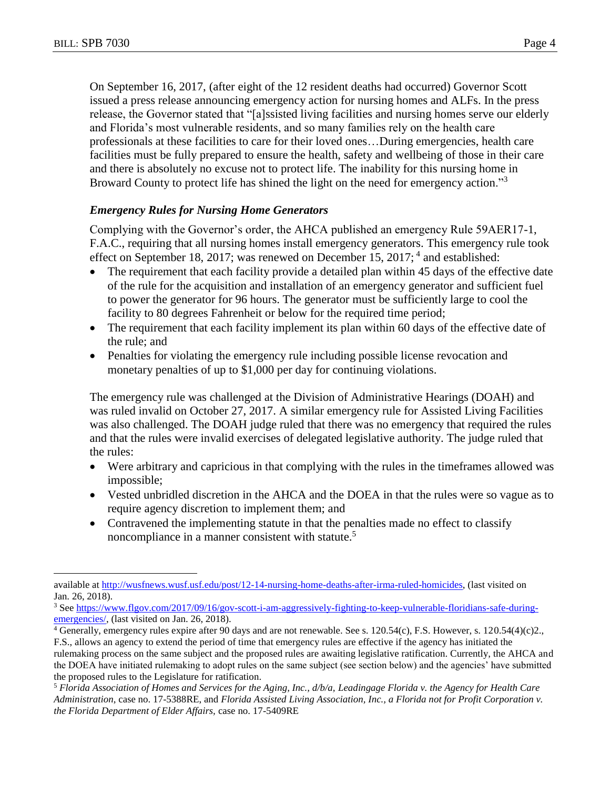$\overline{a}$ 

On September 16, 2017, (after eight of the 12 resident deaths had occurred) Governor Scott issued a press release announcing emergency action for nursing homes and ALFs. In the press release, the Governor stated that "[a]ssisted living facilities and nursing homes serve our elderly and Florida's most vulnerable residents, and so many families rely on the health care professionals at these facilities to care for their loved ones…During emergencies, health care facilities must be fully prepared to ensure the health, safety and wellbeing of those in their care and there is absolutely no excuse not to protect life. The inability for this nursing home in Broward County to protect life has shined the light on the need for emergency action."<sup>3</sup>

# *Emergency Rules for Nursing Home Generators*

Complying with the Governor's order, the AHCA published an emergency Rule 59AER17-1, F.A.C., requiring that all nursing homes install emergency generators. This emergency rule took effect on September 18, 2017; was renewed on December 15, 2017;<sup>4</sup> and established:

- The requirement that each facility provide a detailed plan within 45 days of the effective date of the rule for the acquisition and installation of an emergency generator and sufficient fuel to power the generator for 96 hours. The generator must be sufficiently large to cool the facility to 80 degrees Fahrenheit or below for the required time period;
- The requirement that each facility implement its plan within 60 days of the effective date of the rule; and
- Penalties for violating the emergency rule including possible license revocation and monetary penalties of up to \$1,000 per day for continuing violations.

The emergency rule was challenged at the Division of Administrative Hearings (DOAH) and was ruled invalid on October 27, 2017. A similar emergency rule for Assisted Living Facilities was also challenged. The DOAH judge ruled that there was no emergency that required the rules and that the rules were invalid exercises of delegated legislative authority. The judge ruled that the rules:

- Were arbitrary and capricious in that complying with the rules in the timeframes allowed was impossible;
- Vested unbridled discretion in the AHCA and the DOEA in that the rules were so vague as to require agency discretion to implement them; and
- Contravened the implementing statute in that the penalties made no effect to classify noncompliance in a manner consistent with statute.<sup>5</sup>

available at [http://wusfnews.wusf.usf.edu/post/12-14-nursing-home-deaths-after-irma-ruled-homicides,](http://wusfnews.wusf.usf.edu/post/12-14-nursing-home-deaths-after-irma-ruled-homicides) (last visited on Jan. 26, 2018).

<sup>&</sup>lt;sup>3</sup> Se[e https://www.flgov.com/2017/09/16/gov-scott-i-am-aggressively-fighting-to-keep-vulnerable-floridians-safe-during](https://www.flgov.com/2017/09/16/gov-scott-i-am-aggressively-fighting-to-keep-vulnerable-floridians-safe-during-emergencies/)[emergencies/,](https://www.flgov.com/2017/09/16/gov-scott-i-am-aggressively-fighting-to-keep-vulnerable-floridians-safe-during-emergencies/) (last visited on Jan. 26, 2018).

<sup>4</sup> Generally, emergency rules expire after 90 days and are not renewable. See s. 120.54(c), F.S. However, s. 120.54(4)(c)2., F.S., allows an agency to extend the period of time that emergency rules are effective if the agency has initiated the

rulemaking process on the same subject and the proposed rules are awaiting legislative ratification. Currently, the AHCA and the DOEA have initiated rulemaking to adopt rules on the same subject (see section below) and the agencies' have submitted the proposed rules to the Legislature for ratification.

<sup>5</sup> *Florida Association of Homes and Services for the Aging, Inc., d/b/a, Leadingage Florida v. the Agency for Health Care Administration*, case no. 17-5388RE, and *Florida Assisted Living Association, Inc., a Florida not for Profit Corporation v. the Florida Department of Elder Affairs,* case no. 17-5409RE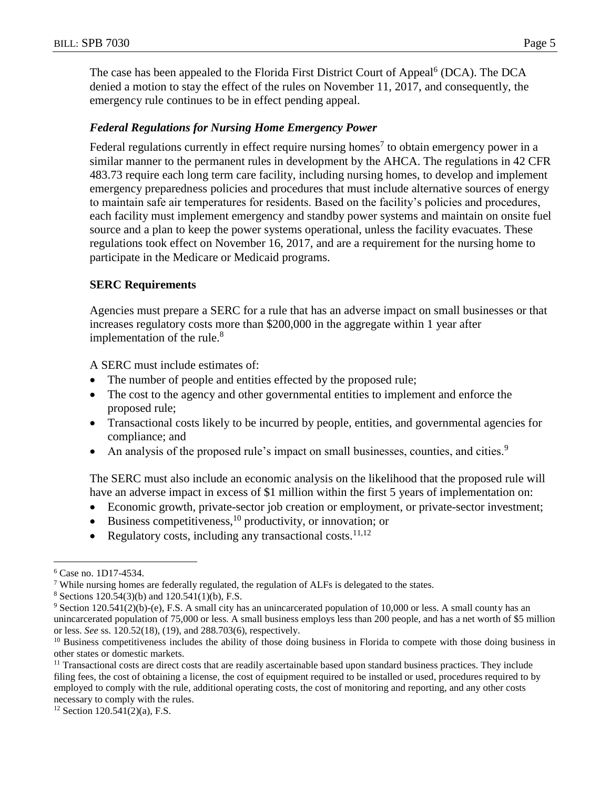The case has been appealed to the Florida First District Court of Appeal<sup>6</sup> (DCA). The DCA denied a motion to stay the effect of the rules on November 11, 2017, and consequently, the emergency rule continues to be in effect pending appeal.

# *Federal Regulations for Nursing Home Emergency Power*

Federal regulations currently in effect require nursing homes<sup>7</sup> to obtain emergency power in a similar manner to the permanent rules in development by the AHCA. The regulations in 42 CFR 483.73 require each long term care facility, including nursing homes, to develop and implement emergency preparedness policies and procedures that must include alternative sources of energy to maintain safe air temperatures for residents. Based on the facility's policies and procedures, each facility must implement emergency and standby power systems and maintain on onsite fuel source and a plan to keep the power systems operational, unless the facility evacuates. These regulations took effect on November 16, 2017, and are a requirement for the nursing home to participate in the Medicare or Medicaid programs.

# **SERC Requirements**

Agencies must prepare a SERC for a rule that has an adverse impact on small businesses or that increases regulatory costs more than \$200,000 in the aggregate within 1 year after implementation of the rule. $8$ 

A SERC must include estimates of:

- The number of people and entities effected by the proposed rule;
- The cost to the agency and other governmental entities to implement and enforce the proposed rule;
- Transactional costs likely to be incurred by people, entities, and governmental agencies for compliance; and
- An analysis of the proposed rule's impact on small businesses, counties, and cities.<sup>9</sup>

The SERC must also include an economic analysis on the likelihood that the proposed rule will have an adverse impact in excess of \$1 million within the first 5 years of implementation on:

- Economic growth, private-sector job creation or employment, or private-sector investment;
- $\bullet$  Business competitiveness,<sup>10</sup> productivity, or innovation; or
- Regulatory costs, including any transactional costs.<sup>11,12</sup>

 $\overline{a}$ 

<sup>6</sup> Case no. 1D17-4534.

 $\frac{7}{7}$  While nursing homes are federally regulated, the regulation of ALFs is delegated to the states.

 $8$  Sections 120.54(3)(b) and 120.541(1)(b), F.S.

<sup>9</sup> Section 120.541(2)(b)-(e), F.S. A small city has an unincarcerated population of 10,000 or less. A small county has an unincarcerated population of 75,000 or less. A small business employs less than 200 people, and has a net worth of \$5 million or less. *See* ss. 120.52(18), (19), and 288.703(6), respectively.

<sup>&</sup>lt;sup>10</sup> Business competitiveness includes the ability of those doing business in Florida to compete with those doing business in other states or domestic markets.

<sup>&</sup>lt;sup>11</sup> Transactional costs are direct costs that are readily ascertainable based upon standard business practices. They include filing fees, the cost of obtaining a license, the cost of equipment required to be installed or used, procedures required to by employed to comply with the rule, additional operating costs, the cost of monitoring and reporting, and any other costs necessary to comply with the rules.

 $12$  Section 120.541(2)(a), F.S.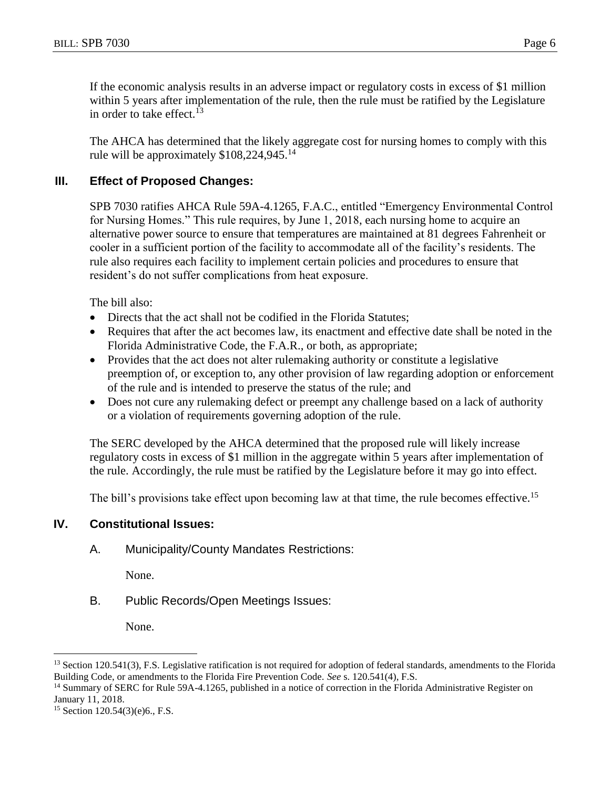If the economic analysis results in an adverse impact or regulatory costs in excess of \$1 million within 5 years after implementation of the rule, then the rule must be ratified by the Legislature in order to take effect. 13

The AHCA has determined that the likely aggregate cost for nursing homes to comply with this rule will be approximately  $$108,224,945$ <sup>14</sup>

# **III. Effect of Proposed Changes:**

SPB 7030 ratifies AHCA Rule 59A-4.1265, F.A.C., entitled "Emergency Environmental Control for Nursing Homes." This rule requires, by June 1, 2018, each nursing home to acquire an alternative power source to ensure that temperatures are maintained at 81 degrees Fahrenheit or cooler in a sufficient portion of the facility to accommodate all of the facility's residents. The rule also requires each facility to implement certain policies and procedures to ensure that resident's do not suffer complications from heat exposure.

The bill also:

- Directs that the act shall not be codified in the Florida Statutes;
- Requires that after the act becomes law, its enactment and effective date shall be noted in the Florida Administrative Code, the F.A.R., or both, as appropriate;
- Provides that the act does not alter rulemaking authority or constitute a legislative preemption of, or exception to, any other provision of law regarding adoption or enforcement of the rule and is intended to preserve the status of the rule; and
- Does not cure any rulemaking defect or preempt any challenge based on a lack of authority or a violation of requirements governing adoption of the rule.

The SERC developed by the AHCA determined that the proposed rule will likely increase regulatory costs in excess of \$1 million in the aggregate within 5 years after implementation of the rule. Accordingly, the rule must be ratified by the Legislature before it may go into effect.

The bill's provisions take effect upon becoming law at that time, the rule becomes effective.<sup>15</sup>

# **IV. Constitutional Issues:**

# A. Municipality/County Mandates Restrictions:

None.

B. Public Records/Open Meetings Issues:

None.

 $\overline{a}$ 

<sup>&</sup>lt;sup>13</sup> Section 120.541(3), F.S. Legislative ratification is not required for adoption of federal standards, amendments to the Florida Building Code, or amendments to the Florida Fire Prevention Code. *See* s. 120.541(4), F.S.

<sup>&</sup>lt;sup>14</sup> Summary of SERC for Rule 59A-4.1265, published in a notice of correction in the Florida Administrative Register on January 11, 2018.

<sup>15</sup> Section 120.54(3)(e)6., F.S.